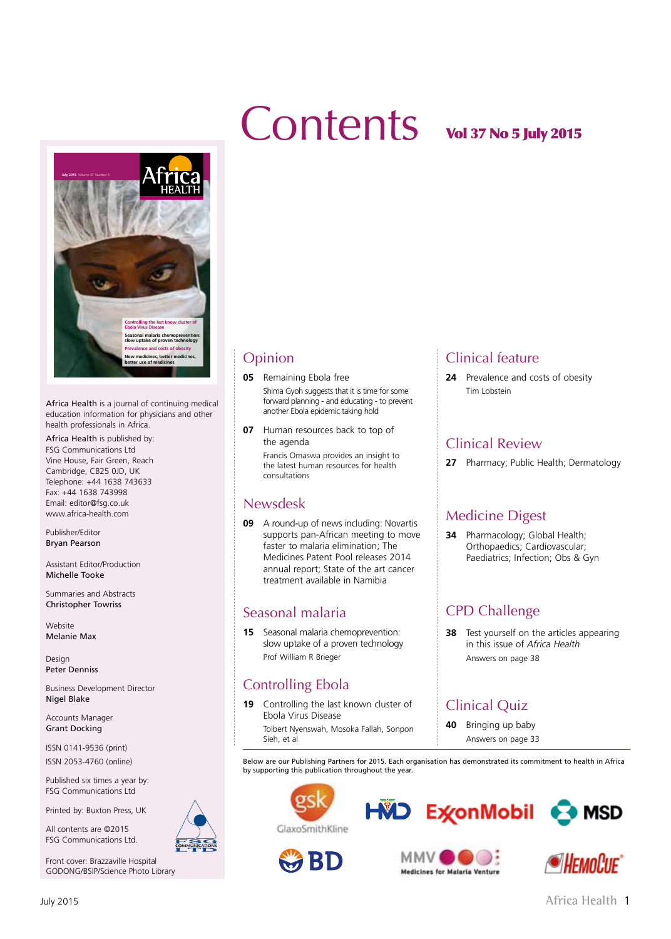# Contents vol 37 No 5 July 2015



Africa Health is a journal of continuing medical education information for physicians and other health professionals in Africa.

Africa Health is published by: FSG Communications Ltd Vine House, Fair Green, Reach Cambridge, CB25 0JD, UK Telephone: +44 1638 743633 Fax: +44 1638 743998 Email: editor@fsg.co.uk www.africa-health.com

Publisher/Editor Bryan Pearson

Assistant Editor/Production Michelle Tooke

Summaries and Abstracts Christopher Towriss

Website Melanie Max

Design Peter Denniss

Business Development Director Nigel Blake

Accounts Manager Grant Docking

ISSN 0141-9536 (print) ISSN 2053-4760 (online)

Published six times a year by: FSG Communications Ltd

Printed by: Buxton Press, UK

All contents are ©2015 FSG Communications Ltd.

Front cover: Brazzaville Hospital GODONG/BSIP/Science Photo Library

#### Opinion

**05** Remaining Ebola free

Shima Gyoh suggests that it is time for some forward planning - and educating - to prevent another Ebola epidemic taking hold

**07** Human resources back to top of the agenda

> Francis Omaswa provides an insight to the latest human resources for health consultations

#### Newsdesk

**09** A round-up of news including: Novartis supports pan-African meeting to move faster to malaria elimination; The Medicines Patent Pool releases 2014 annual report; State of the art cancer treatment available in Namibia

#### Seasonal malaria

**15** Seasonal malaria chemoprevention: slow uptake of a proven technology Prof William R Brieger

#### Controlling Ebola

**19** Controlling the last known cluster of Ebola Virus Disease Tolbert Nyenswah, Mosoka Fallah, Sonpon Sieh, et al

#### Clinical feature

**24** Prevalence and costs of obesity Tim Lobstein

#### Clinical Review

**27** Pharmacy; Public Health; Dermatology

#### Medicine Digest

**34** Pharmacology; Global Health; Orthopaedics; Cardiovascular; Paediatrics; Infection; Obs & Gyn

#### CPD Challenge

**38** Test yourself on the articles appearing in this issue of *Africa Health* Answers on page 38

### Clinical Quiz

**40** Bringing up baby Answers on page 33

Below are our Publishing Partners for 2015. Each organisation has demonstrated its commitment to health in Africa by supporting this publication throughout the year.



**WBD**